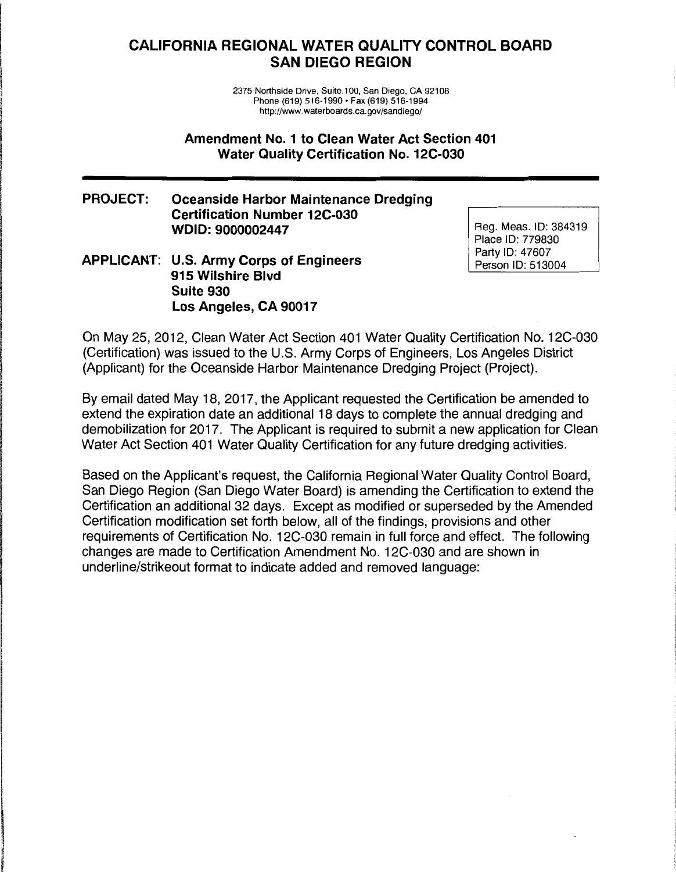# **CALIFORNIA REGIONAL WATER QUALITY CONTROL BOARD SAN DIEGO REGION**

2375 Northside Drive, Suite.100, San Diego, CA 92108 Phone (619) 516-1990 • Fax (619) 516-1994 http://www.waterboards.ca.gov/sandiego/

#### **Amendment No. 1 to Clean Water Act Section 401 Water Quality Certification No. 12C-030**

### **PROJECT: Oceanside Harbor Maintenance Dredging Certification Number 12C-030 WDID:9000002447**

#### **APPLICANT: U.S. Army Corps of Engineers 915 Wilshire Blvd Suite 930 Los Angeles, CA 90017**

' **In the contract of the contract of the contract of the contract of the contract of the contract of the contract of the contract of the contract of the contract of the contract of the contract of the contract of the contra** 

**BASE** i<br>international<br>international l q 1994<br>1994 - Paul VII<br>1994 - Paul VIII la construction de la construction de la construction de la construction de la construction de la construction<br>La construction de la construction de la construction de la construction de la construction de la construction

' i '

> Reg. Meas. ID: 384319 Place ID: 779830 Party ID: 47607 Person ID: 513004

On May 25, 2012, Clean Water Act Section 401 Water Quality Certification No. 12C-030 (Certification) was issued to the U.S. Army Corps of Engineers, Los Angeles District (Applicant) for the Oceanside Harbor Maintenance Dredging Project (Project).

By email dated May 18, 2017, the Applicant requested the Certification be amended to extend the expiration date an additional 18 days to complete the annual dredging and demobilization for 2017. The Applicant is required to submit a new application for Clean Water Act Section 401 Water Quality Certification for any future dredging activities.

Based on the Applicant's request, the California Regional Water Quality Control Board, San Diego Region (San Diego Water Board) is amending the Certification to extend the Certification an additional 32 days. Except as modified or superseded by the Amended Certification modification set forth below, all of the findings, provisions and other requirements of Certification No. 12C-030 remain in full force and effect. The following changes are made to Certification Amendment No. 12C-030 and are shown in underline/strikeout format to indicate added and removed language: